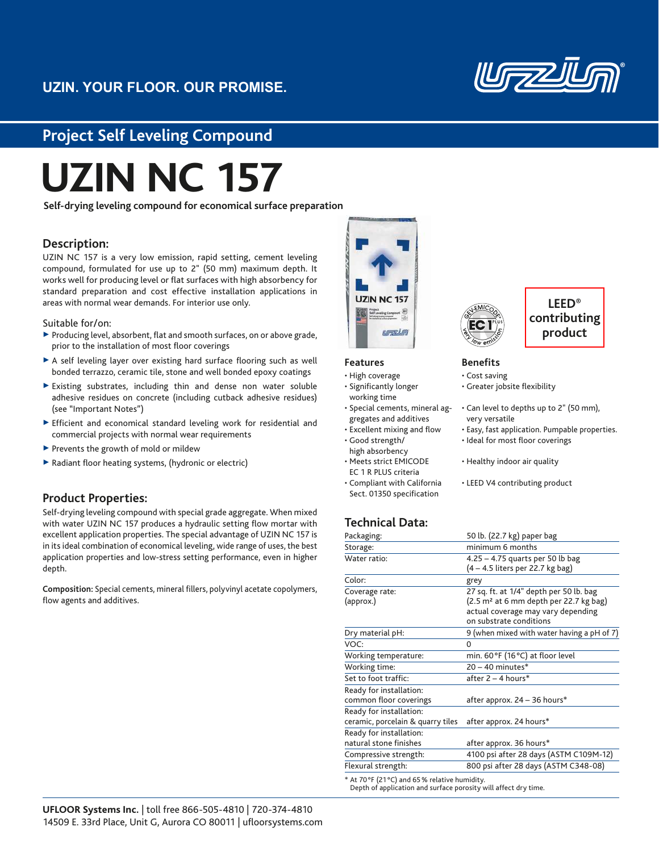

## **Project Self Leveling Compound**

# **UZIN NC 157**

**Self-drying leveling compound for economical surface preparation**

## **Description:**

UZIN NC 157 is a very low emission, rapid setting, cement leveling compound, formulated for use up to 2" (50 mm) maximum depth. It works well for producing level or flat surfaces with high absorbency for standard preparation and cost effective installation applications in areas with normal wear demands. For interior use only.

Suitable for/on:

- $\triangleright$  Producing level, absorbent, flat and smooth surfaces, on or above grade, prior to the installation of most floor coverings
- $\triangleright$  A self leveling layer over existing hard surface flooring such as well bonded terrazzo, ceramic tile, stone and well bonded epoxy coatings
- 3 Existing substrates, including thin and dense non water soluble adhesive residues on concrete (including cutback adhesive residues) (see "Important Notes")
- $\triangleright$  Efficient and economical standard leveling work for residential and commercial projects with normal wear requirements
- $\blacktriangleright$  Prevents the growth of mold or mildew
- $\blacktriangleright$  Radiant floor heating systems, (hydronic or electric)

## **Product Properties:**

Self-drying leveling compound with special grade aggregate. When mixed with water UZIN NC 157 produces a hydraulic setting flow mortar with excellent application properties. The special advantage of UZIN NC 157 is in its ideal combination of economical leveling, wide range of uses, the best application properties and low-stress setting performance, even in higher depth.

**Composition:** Special cements, mineral fillers, polyvinyl acetate copolymers, flow agents and additives.



#### **Features**

- High coverage • Significantly longer
- working time • Special cements, mineral ag-
- gregates and additives
- Excellent mixing and flow • Good strength/
- high absorbency
- Meets strict EMICODE EC 1 R PLUS criteria
- Compliant with California Sect. 01350 specification



## **LEED® contributing product**

#### **Benefits**

- Cost saving
	- Greater jobsite flexibility
	- Can level to depths up to 2" (50 mm), very versatile
	- Easy, fast application. Pumpable properties.
	- Ideal for most floor coverings
	- Healthy indoor air quality
	- LEED V4 contributing product

## **Technical Data:**

| Packaging:                        | 50 lb. (22.7 kg) paper bag                                             |
|-----------------------------------|------------------------------------------------------------------------|
| Storage:                          | minimum 6 months                                                       |
| Water ratio:                      | $4.25 - 4.75$ quarts per 50 lb bag<br>(4 – 4.5 liters per 22.7 kg bag) |
| Color:                            | grey                                                                   |
| Coverage rate:                    | 27 sq. ft. at 1/4" depth per 50 lb. bag                                |
| (approx.)                         | (2.5 m <sup>2</sup> at 6 mm depth per 22.7 kg bag)                     |
|                                   | actual coverage may vary depending                                     |
|                                   | on substrate conditions                                                |
| Dry material pH:                  | 9 (when mixed with water having a pH of 7)                             |
| VOC:                              | 0                                                                      |
| Working temperature:              | min. 60°F (16°C) at floor level                                        |
| Working time:                     | $20 - 40$ minutes $*$                                                  |
| Set to foot traffic:              | after $2 - 4$ hours*                                                   |
| Ready for installation:           |                                                                        |
| common floor coverings            | after approx. 24 - 36 hours*                                           |
| Ready for installation:           |                                                                        |
| ceramic, porcelain & quarry tiles | after approx. 24 hours*                                                |
| Ready for installation:           |                                                                        |
| natural stone finishes            | after approx. 36 hours*                                                |
| Compressive strength:             | 4100 psi after 28 days (ASTM C109M-12)                                 |
| Flexural strength:                | 800 psi after 28 days (ASTM C348-08)                                   |
|                                   |                                                                        |

<sup>\*</sup> At 70 °F (21 °C) and 65 % relative humidity.

Depth of application and surface porosity will affect dry time.